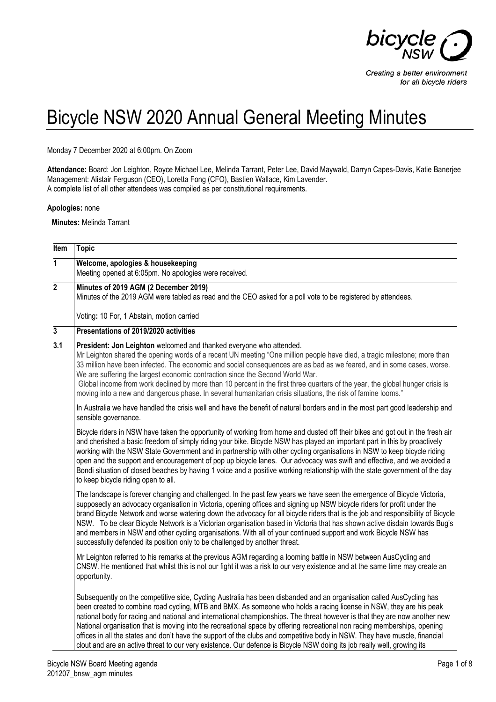

## Bicycle NSW 2020 Annual General Meeting Minutes

Monday 7 December 2020 at 6:00pm. On Zoom

**Attendance:** Board: Jon Leighton, Royce Michael Lee, Melinda Tarrant, Peter Lee, David Maywald, Darryn Capes-Davis, Katie Banerjee Management: Alistair Ferguson (CEO), Loretta Fong (CFO), Bastien Wallace, Kim Lavender. A complete list of all other attendees was compiled as per constitutional requirements.

**Apologies:** none

**Minutes:** Melinda Tarrant

| Item           | <b>Topic</b>                                                                                                                                                                                                                                                                                                                                                                                                                                                                                                                                                                                                                                                                                                                                                   |
|----------------|----------------------------------------------------------------------------------------------------------------------------------------------------------------------------------------------------------------------------------------------------------------------------------------------------------------------------------------------------------------------------------------------------------------------------------------------------------------------------------------------------------------------------------------------------------------------------------------------------------------------------------------------------------------------------------------------------------------------------------------------------------------|
| $\overline{1}$ | Welcome, apologies & housekeeping<br>Meeting opened at 6:05pm. No apologies were received.                                                                                                                                                                                                                                                                                                                                                                                                                                                                                                                                                                                                                                                                     |
| $\overline{2}$ | Minutes of 2019 AGM (2 December 2019)<br>Minutes of the 2019 AGM were tabled as read and the CEO asked for a poll vote to be registered by attendees.                                                                                                                                                                                                                                                                                                                                                                                                                                                                                                                                                                                                          |
|                | Voting: 10 For, 1 Abstain, motion carried                                                                                                                                                                                                                                                                                                                                                                                                                                                                                                                                                                                                                                                                                                                      |
| $\overline{3}$ | Presentations of 2019/2020 activities                                                                                                                                                                                                                                                                                                                                                                                                                                                                                                                                                                                                                                                                                                                          |
| 3.1            | President: Jon Leighton welcomed and thanked everyone who attended.<br>Mr Leighton shared the opening words of a recent UN meeting "One million people have died, a tragic milestone; more than<br>33 million have been infected. The economic and social consequences are as bad as we feared, and in some cases, worse.<br>We are suffering the largest economic contraction since the Second World War.<br>Global income from work declined by more than 10 percent in the first three quarters of the year, the global hunger crisis is<br>moving into a new and dangerous phase. In several humanitarian crisis situations, the risk of famine looms."                                                                                                    |
|                | In Australia we have handled the crisis well and have the benefit of natural borders and in the most part good leadership and<br>sensible governance.                                                                                                                                                                                                                                                                                                                                                                                                                                                                                                                                                                                                          |
|                | Bicycle riders in NSW have taken the opportunity of working from home and dusted off their bikes and got out in the fresh air<br>and cherished a basic freedom of simply riding your bike. Bicycle NSW has played an important part in this by proactively<br>working with the NSW State Government and in partnership with other cycling organisations in NSW to keep bicycle riding<br>open and the support and encouragement of pop up bicycle lanes. Our advocacy was swift and effective, and we avoided a<br>Bondi situation of closed beaches by having 1 voice and a positive working relationship with the state government of the day<br>to keep bicycle riding open to all.                                                                         |
|                | The landscape is forever changing and challenged. In the past few years we have seen the emergence of Bicycle Victoria,<br>supposedly an advocacy organisation in Victoria, opening offices and signing up NSW bicycle riders for profit under the<br>brand Bicycle Network and worse watering down the advocacy for all bicycle riders that is the job and responsibility of Bicycle<br>NSW. To be clear Bicycle Network is a Victorian organisation based in Victoria that has shown active disdain towards Bug's<br>and members in NSW and other cycling organisations. With all of your continued support and work Bicycle NSW has<br>successfully defended its position only to be challenged by another threat.                                          |
|                | Mr Leighton referred to his remarks at the previous AGM regarding a looming battle in NSW between AusCycling and<br>CNSW. He mentioned that whilst this is not our fight it was a risk to our very existence and at the same time may create an<br>opportunity.                                                                                                                                                                                                                                                                                                                                                                                                                                                                                                |
|                | Subsequently on the competitive side, Cycling Australia has been disbanded and an organisation called AusCycling has<br>been created to combine road cycling, MTB and BMX. As someone who holds a racing license in NSW, they are his peak<br>national body for racing and national and international championships. The threat however is that they are now another new<br>National organisation that is moving into the recreational space by offering recreational non racing memberships, opening<br>offices in all the states and don't have the support of the clubs and competitive body in NSW. They have muscle, financial<br>clout and are an active threat to our very existence. Our defence is Bicycle NSW doing its job really well, growing its |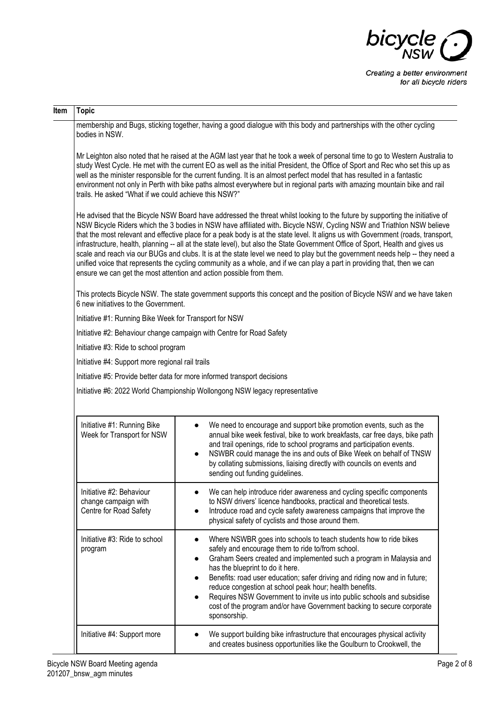

| Item | <b>Topic</b>                                                               |                                                                                                                                                                                                                                                                                                                                                                                                                                                                                                                                                                                                                                                                                                                                                                                                                                                                   |
|------|----------------------------------------------------------------------------|-------------------------------------------------------------------------------------------------------------------------------------------------------------------------------------------------------------------------------------------------------------------------------------------------------------------------------------------------------------------------------------------------------------------------------------------------------------------------------------------------------------------------------------------------------------------------------------------------------------------------------------------------------------------------------------------------------------------------------------------------------------------------------------------------------------------------------------------------------------------|
|      | bodies in NSW.                                                             | membership and Bugs, sticking together, having a good dialogue with this body and partnerships with the other cycling                                                                                                                                                                                                                                                                                                                                                                                                                                                                                                                                                                                                                                                                                                                                             |
|      | trails. He asked "What if we could achieve this NSW?"                      | Mr Leighton also noted that he raised at the AGM last year that he took a week of personal time to go to Western Australia to<br>study West Cycle. He met with the current EO as well as the initial President, the Office of Sport and Rec who set this up as<br>well as the minister responsible for the current funding. It is an almost perfect model that has resulted in a fantastic<br>environment not only in Perth with bike paths almost everywhere but in regional parts with amazing mountain bike and rail                                                                                                                                                                                                                                                                                                                                           |
|      |                                                                            | He advised that the Bicycle NSW Board have addressed the threat whilst looking to the future by supporting the initiative of<br>NSW Bicycle Riders which the 3 bodies in NSW have affiliated with. Bicycle NSW, Cycling NSW and Triathlon NSW believe<br>that the most relevant and effective place for a peak body is at the state level. It aligns us with Government (roads, transport,<br>infrastructure, health, planning -- all at the state level), but also the State Government Office of Sport, Health and gives us<br>scale and reach via our BUGs and clubs. It is at the state level we need to play but the government needs help -- they need a<br>unified voice that represents the cycling community as a whole, and if we can play a part in providing that, then we can<br>ensure we can get the most attention and action possible from them. |
|      | 6 new initiatives to the Government.                                       | This protects Bicycle NSW. The state government supports this concept and the position of Bicycle NSW and we have taken                                                                                                                                                                                                                                                                                                                                                                                                                                                                                                                                                                                                                                                                                                                                           |
|      | Initiative #1: Running Bike Week for Transport for NSW                     |                                                                                                                                                                                                                                                                                                                                                                                                                                                                                                                                                                                                                                                                                                                                                                                                                                                                   |
|      |                                                                            | Initiative #2: Behaviour change campaign with Centre for Road Safety                                                                                                                                                                                                                                                                                                                                                                                                                                                                                                                                                                                                                                                                                                                                                                                              |
|      | Initiative #3: Ride to school program                                      |                                                                                                                                                                                                                                                                                                                                                                                                                                                                                                                                                                                                                                                                                                                                                                                                                                                                   |
|      | Initiative #4: Support more regional rail trails                           |                                                                                                                                                                                                                                                                                                                                                                                                                                                                                                                                                                                                                                                                                                                                                                                                                                                                   |
|      |                                                                            | Initiative #5: Provide better data for more informed transport decisions                                                                                                                                                                                                                                                                                                                                                                                                                                                                                                                                                                                                                                                                                                                                                                                          |
|      |                                                                            | Initiative #6: 2022 World Championship Wollongong NSW legacy representative                                                                                                                                                                                                                                                                                                                                                                                                                                                                                                                                                                                                                                                                                                                                                                                       |
|      | Initiative #1: Running Bike<br>Week for Transport for NSW                  | We need to encourage and support bike promotion events, such as the<br>annual bike week festival, bike to work breakfasts, car free days, bike path<br>and trail openings, ride to school programs and participation events.<br>NSWBR could manage the ins and outs of Bike Week on behalf of TNSW<br>by collating submissions, liaising directly with councils on events and<br>sending out funding guidelines.                                                                                                                                                                                                                                                                                                                                                                                                                                                  |
|      | Initiative #2: Behaviour<br>change campaign with<br>Centre for Road Safety | We can help introduce rider awareness and cycling specific components<br>to NSW drivers' licence handbooks, practical and theoretical tests.<br>Introduce road and cycle safety awareness campaigns that improve the<br>physical safety of cyclists and those around them.                                                                                                                                                                                                                                                                                                                                                                                                                                                                                                                                                                                        |
|      | Initiative #3: Ride to school<br>program                                   | Where NSWBR goes into schools to teach students how to ride bikes<br>safely and encourage them to ride to/from school.<br>Graham Seers created and implemented such a program in Malaysia and<br>has the blueprint to do it here.<br>Benefits: road user education; safer driving and riding now and in future;<br>reduce congestion at school peak hour; health benefits.<br>Requires NSW Government to invite us into public schools and subsidise<br>cost of the program and/or have Government backing to secure corporate<br>sponsorship.                                                                                                                                                                                                                                                                                                                    |
|      | Initiative #4: Support more                                                | We support building bike infrastructure that encourages physical activity<br>and creates business opportunities like the Goulburn to Crookwell, the                                                                                                                                                                                                                                                                                                                                                                                                                                                                                                                                                                                                                                                                                                               |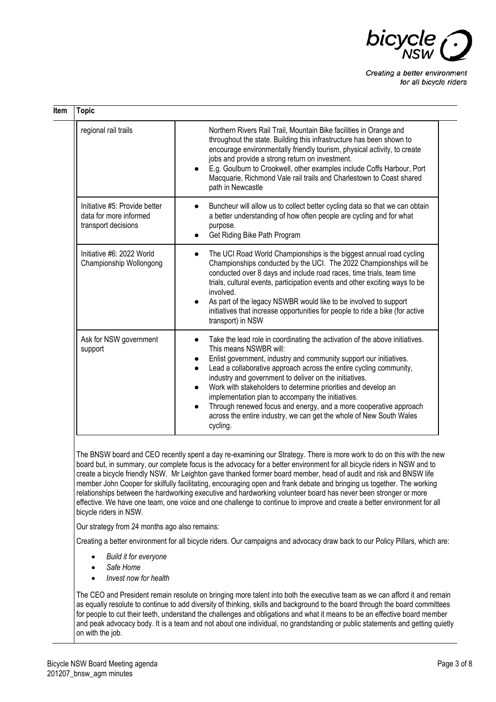

| <b>Topic</b>                                                                   |                                                                                                                                                                                                                                                                                                                                                                                                                                                                                                                                                                                                        |
|--------------------------------------------------------------------------------|--------------------------------------------------------------------------------------------------------------------------------------------------------------------------------------------------------------------------------------------------------------------------------------------------------------------------------------------------------------------------------------------------------------------------------------------------------------------------------------------------------------------------------------------------------------------------------------------------------|
| regional rail trails                                                           | Northern Rivers Rail Trail, Mountain Bike facilities in Orange and<br>throughout the state. Building this infrastructure has been shown to<br>encourage environmentally friendly tourism, physical activity, to create<br>jobs and provide a strong return on investment.<br>E.g. Goulburn to Crookwell, other examples include Coffs Harbour, Port<br>Macquarie, Richmond Vale rail trails and Charlestown to Coast shared<br>path in Newcastle                                                                                                                                                       |
| Initiative #5: Provide better<br>data for more informed<br>transport decisions | Buncheur will allow us to collect better cycling data so that we can obtain<br>a better understanding of how often people are cycling and for what<br>purpose.<br>Get Riding Bike Path Program                                                                                                                                                                                                                                                                                                                                                                                                         |
| Initiative #6: 2022 World<br>Championship Wollongong                           | The UCI Road World Championships is the biggest annual road cycling<br>Championships conducted by the UCI. The 2022 Championships will be<br>conducted over 8 days and include road races, time trials, team time<br>trials, cultural events, participation events and other exciting ways to be<br>involved.<br>As part of the legacy NSWBR would like to be involved to support<br>initiatives that increase opportunities for people to ride a bike (for active<br>transport) in NSW                                                                                                                |
| Ask for NSW government<br>support                                              | Take the lead role in coordinating the activation of the above initiatives.<br>$\bullet$<br>This means NSWBR will:<br>Enlist government, industry and community support our initiatives.<br>Lead a collaborative approach across the entire cycling community,<br>industry and government to deliver on the initiatives.<br>Work with stakeholders to determine priorities and develop an<br>implementation plan to accompany the initiatives.<br>Through renewed focus and energy, and a more cooperative approach<br>across the entire industry, we can get the whole of New South Wales<br>cycling. |

The BNSW board and CEO recently spent a day re-examining our Strategy. There is more work to do on this with the new board but, in summary, our complete focus is the advocacy for a better environment for all bicycle riders in NSW and to create a bicycle friendly NSW. Mr Leighton gave thanked former board member, head of audit and risk and BNSW life member John Cooper for skilfully facilitating, encouraging open and frank debate and bringing us together. The working relationships between the hardworking executive and hardworking volunteer board has never been stronger or more effective. We have one team, one voice and one challenge to continue to improve and create a better environment for all bicycle riders in NSW.

Our strategy from 24 months ago also remains:

Creating a better environment for all bicycle riders. Our campaigns and advocacy draw back to our Policy Pillars, which are:

- *Build it for everyone*
- *Safe Home*
- *Invest now for health*

The CEO and President remain resolute on bringing more talent into both the executive team as we can afford it and remain as equally resolute to continue to add diversity of thinking, skills and background to the board through the board committees for people to cut their teeth, understand the challenges and obligations and what it means to be an effective board member and peak advocacy body. It is a team and not about one individual, no grandstanding or public statements and getting quietly on with the job.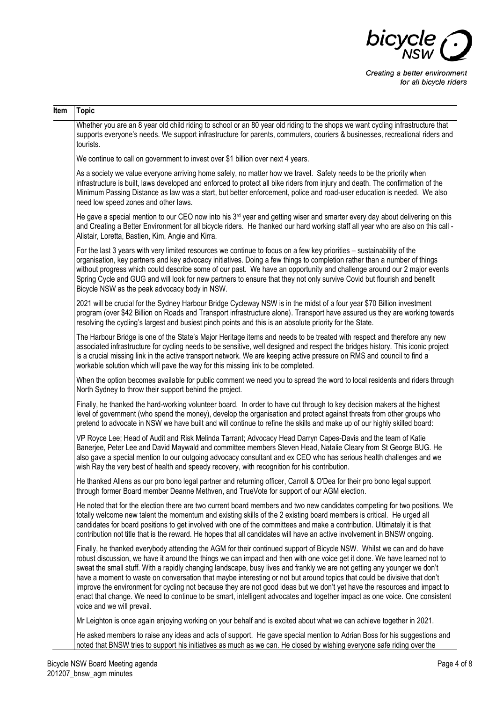

| Item | <b>Topic</b>                                                                                                                                                                                                                                                                                                                                                                                                                                                                                                                                                                                                                                                                                                                                                                                        |
|------|-----------------------------------------------------------------------------------------------------------------------------------------------------------------------------------------------------------------------------------------------------------------------------------------------------------------------------------------------------------------------------------------------------------------------------------------------------------------------------------------------------------------------------------------------------------------------------------------------------------------------------------------------------------------------------------------------------------------------------------------------------------------------------------------------------|
|      | Whether you are an 8 year old child riding to school or an 80 year old riding to the shops we want cycling infrastructure that<br>supports everyone's needs. We support infrastructure for parents, commuters, couriers & businesses, recreational riders and<br>tourists.                                                                                                                                                                                                                                                                                                                                                                                                                                                                                                                          |
|      | We continue to call on government to invest over \$1 billion over next 4 years.                                                                                                                                                                                                                                                                                                                                                                                                                                                                                                                                                                                                                                                                                                                     |
|      | As a society we value everyone arriving home safely, no matter how we travel. Safety needs to be the priority when<br>infrastructure is built, laws developed and enforced to protect all bike riders from injury and death. The confirmation of the<br>Minimum Passing Distance as law was a start, but better enforcement, police and road-user education is needed. We also<br>need low speed zones and other laws.                                                                                                                                                                                                                                                                                                                                                                              |
|      | He gave a special mention to our CEO now into his 3 <sup>rd</sup> year and getting wiser and smarter every day about delivering on this<br>and Creating a Better Environment for all bicycle riders. He thanked our hard working staff all year who are also on this call -<br>Alistair, Loretta, Bastien, Kim, Angie and Kirra.                                                                                                                                                                                                                                                                                                                                                                                                                                                                    |
|      | For the last 3 years with very limited resources we continue to focus on a few key priorities – sustainability of the<br>organisation, key partners and key advocacy initiatives. Doing a few things to completion rather than a number of things<br>without progress which could describe some of our past. We have an opportunity and challenge around our 2 major events<br>Spring Cycle and GUG and will look for new partners to ensure that they not only survive Covid but flourish and benefit<br>Bicycle NSW as the peak advocacy body in NSW.                                                                                                                                                                                                                                             |
|      | 2021 will be crucial for the Sydney Harbour Bridge Cycleway NSW is in the midst of a four year \$70 Billion investment<br>program (over \$42 Billion on Roads and Transport infrastructure alone). Transport have assured us they are working towards<br>resolving the cycling's largest and busiest pinch points and this is an absolute priority for the State.                                                                                                                                                                                                                                                                                                                                                                                                                                   |
|      | The Harbour Bridge is one of the State's Major Heritage items and needs to be treated with respect and therefore any new<br>associated infrastructure for cycling needs to be sensitive, well designed and respect the bridges history. This iconic project<br>is a crucial missing link in the active transport network. We are keeping active pressure on RMS and council to find a<br>workable solution which will pave the way for this missing link to be completed.                                                                                                                                                                                                                                                                                                                           |
|      | When the option becomes available for public comment we need you to spread the word to local residents and riders through<br>North Sydney to throw their support behind the project.                                                                                                                                                                                                                                                                                                                                                                                                                                                                                                                                                                                                                |
|      | Finally, he thanked the hard-working volunteer board. In order to have cut through to key decision makers at the highest<br>level of government (who spend the money), develop the organisation and protect against threats from other groups who<br>pretend to advocate in NSW we have built and will continue to refine the skills and make up of our highly skilled board:                                                                                                                                                                                                                                                                                                                                                                                                                       |
|      | VP Royce Lee; Head of Audit and Risk Melinda Tarrant; Advocacy Head Darryn Capes-Davis and the team of Katie<br>Banerjee, Peter Lee and David Maywald and committee members Steven Head, Natalie Cleary from St George BUG. He<br>also gave a special mention to our outgoing advocacy consultant and ex CEO who has serious health challenges and we<br>wish Ray the very best of health and speedy recovery, with recognition for his contribution.                                                                                                                                                                                                                                                                                                                                               |
|      | He thanked Allens as our pro bono legal partner and returning officer, Carroll & O'Dea for their pro bono legal support<br>through former Board member Deanne Methven, and TrueVote for support of our AGM election.                                                                                                                                                                                                                                                                                                                                                                                                                                                                                                                                                                                |
|      | He noted that for the election there are two current board members and two new candidates competing for two positions. We<br>totally welcome new talent the momentum and existing skills of the 2 existing board members is critical. He urged all<br>candidates for board positions to get involved with one of the committees and make a contribution. Ultimately it is that<br>contribution not title that is the reward. He hopes that all candidates will have an active involvement in BNSW ongoing.                                                                                                                                                                                                                                                                                          |
|      | Finally, he thanked everybody attending the AGM for their continued support of Bicycle NSW. Whilst we can and do have<br>robust discussion, we have it around the things we can impact and then with one voice get it done. We have learned not to<br>sweat the small stuff. With a rapidly changing landscape, busy lives and frankly we are not getting any younger we don't<br>have a moment to waste on conversation that maybe interesting or not but around topics that could be divisive that don't<br>improve the environment for cycling not because they are not good ideas but we don't yet have the resources and impact to<br>enact that change. We need to continue to be smart, intelligent advocates and together impact as one voice. One consistent<br>voice and we will prevail. |
|      | Mr Leighton is once again enjoying working on your behalf and is excited about what we can achieve together in 2021.                                                                                                                                                                                                                                                                                                                                                                                                                                                                                                                                                                                                                                                                                |
|      | He asked members to raise any ideas and acts of support. He gave special mention to Adrian Boss for his suggestions and<br>noted that BNSW tries to support his initiatives as much as we can. He closed by wishing everyone safe riding over the                                                                                                                                                                                                                                                                                                                                                                                                                                                                                                                                                   |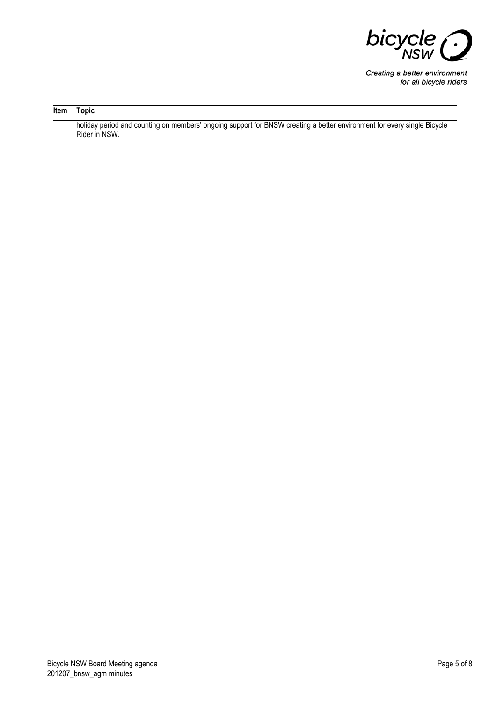

| Item | Topic                                                                                                                                    |
|------|------------------------------------------------------------------------------------------------------------------------------------------|
|      | holiday period and counting on members' ongoing support for BNSW creating a better environment for every single Bicycle<br>Rider in NSW. |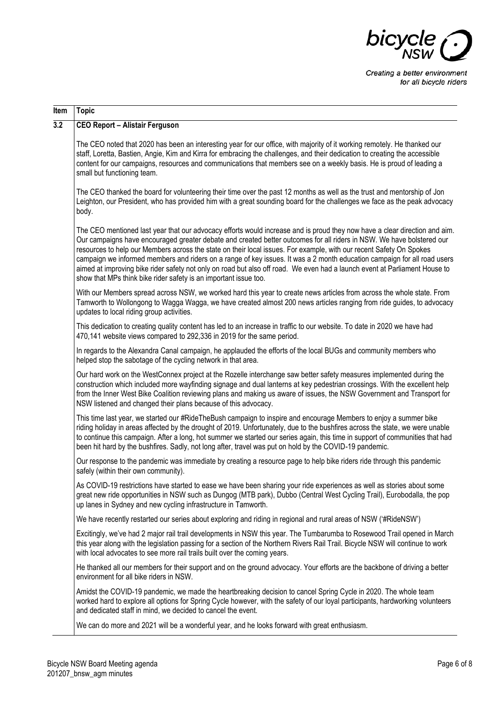

| Item             | <b>Topic</b>                                                                                                                                                                                                                                                                                                                                                                                                                                                                                                                                                                                                                                                                                             |
|------------------|----------------------------------------------------------------------------------------------------------------------------------------------------------------------------------------------------------------------------------------------------------------------------------------------------------------------------------------------------------------------------------------------------------------------------------------------------------------------------------------------------------------------------------------------------------------------------------------------------------------------------------------------------------------------------------------------------------|
| $\overline{3.2}$ | <b>CEO Report - Alistair Ferguson</b>                                                                                                                                                                                                                                                                                                                                                                                                                                                                                                                                                                                                                                                                    |
|                  | The CEO noted that 2020 has been an interesting year for our office, with majority of it working remotely. He thanked our<br>staff, Loretta, Bastien, Angie, Kim and Kirra for embracing the challenges, and their dedication to creating the accessible<br>content for our campaigns, resources and communications that members see on a weekly basis. He is proud of leading a<br>small but functioning team.                                                                                                                                                                                                                                                                                          |
|                  | The CEO thanked the board for volunteering their time over the past 12 months as well as the trust and mentorship of Jon<br>Leighton, our President, who has provided him with a great sounding board for the challenges we face as the peak advocacy<br>body.                                                                                                                                                                                                                                                                                                                                                                                                                                           |
|                  | The CEO mentioned last year that our advocacy efforts would increase and is proud they now have a clear direction and aim.<br>Our campaigns have encouraged greater debate and created better outcomes for all riders in NSW. We have bolstered our<br>resources to help our Members across the state on their local issues. For example, with our recent Safety On Spokes<br>campaign we informed members and riders on a range of key issues. It was a 2 month education campaign for all road users<br>aimed at improving bike rider safety not only on road but also off road. We even had a launch event at Parliament House to<br>show that MPs think bike rider safety is an important issue too. |
|                  | With our Members spread across NSW, we worked hard this year to create news articles from across the whole state. From<br>Tamworth to Wollongong to Wagga Wagga, we have created almost 200 news articles ranging from ride guides, to advocacy<br>updates to local riding group activities.                                                                                                                                                                                                                                                                                                                                                                                                             |
|                  | This dedication to creating quality content has led to an increase in traffic to our website. To date in 2020 we have had<br>470,141 website views compared to 292,336 in 2019 for the same period.                                                                                                                                                                                                                                                                                                                                                                                                                                                                                                      |
|                  | In regards to the Alexandra Canal campaign, he applauded the efforts of the local BUGs and community members who<br>helped stop the sabotage of the cycling network in that area.                                                                                                                                                                                                                                                                                                                                                                                                                                                                                                                        |
|                  | Our hard work on the WestConnex project at the Rozelle interchange saw better safety measures implemented during the<br>construction which included more wayfinding signage and dual lanterns at key pedestrian crossings. With the excellent help<br>from the Inner West Bike Coalition reviewing plans and making us aware of issues, the NSW Government and Transport for<br>NSW listened and changed their plans because of this advocacy.                                                                                                                                                                                                                                                           |
|                  | This time last year, we started our #RideTheBush campaign to inspire and encourage Members to enjoy a summer bike<br>riding holiday in areas affected by the drought of 2019. Unfortunately, due to the bushfires across the state, we were unable<br>to continue this campaign. After a long, hot summer we started our series again, this time in support of communities that had<br>been hit hard by the bushfires. Sadly, not long after, travel was put on hold by the COVID-19 pandemic.                                                                                                                                                                                                           |
|                  | Our response to the pandemic was immediate by creating a resource page to help bike riders ride through this pandemic<br>safely (within their own community).                                                                                                                                                                                                                                                                                                                                                                                                                                                                                                                                            |
|                  | As COVID-19 restrictions have started to ease we have been sharing your ride experiences as well as stories about some<br>great new ride opportunities in NSW such as Dungog (MTB park), Dubbo (Central West Cycling Trail), Eurobodalla, the pop<br>up lanes in Sydney and new cycling infrastructure in Tamworth.                                                                                                                                                                                                                                                                                                                                                                                      |
|                  | We have recently restarted our series about exploring and riding in regional and rural areas of NSW ('#RideNSW')                                                                                                                                                                                                                                                                                                                                                                                                                                                                                                                                                                                         |
|                  | Excitingly, we've had 2 major rail trail developments in NSW this year. The Tumbarumba to Rosewood Trail opened in March<br>this year along with the legislation passing for a section of the Northern Rivers Rail Trail. Bicycle NSW will continue to work<br>with local advocates to see more rail trails built over the coming years.                                                                                                                                                                                                                                                                                                                                                                 |
|                  | He thanked all our members for their support and on the ground advocacy. Your efforts are the backbone of driving a better<br>environment for all bike riders in NSW.                                                                                                                                                                                                                                                                                                                                                                                                                                                                                                                                    |
|                  | Amidst the COVID-19 pandemic, we made the heartbreaking decision to cancel Spring Cycle in 2020. The whole team<br>worked hard to explore all options for Spring Cycle however, with the safety of our loyal participants, hardworking volunteers<br>and dedicated staff in mind, we decided to cancel the event.                                                                                                                                                                                                                                                                                                                                                                                        |
|                  | We can do more and 2021 will be a wonderful year, and he looks forward with great enthusiasm.                                                                                                                                                                                                                                                                                                                                                                                                                                                                                                                                                                                                            |
|                  |                                                                                                                                                                                                                                                                                                                                                                                                                                                                                                                                                                                                                                                                                                          |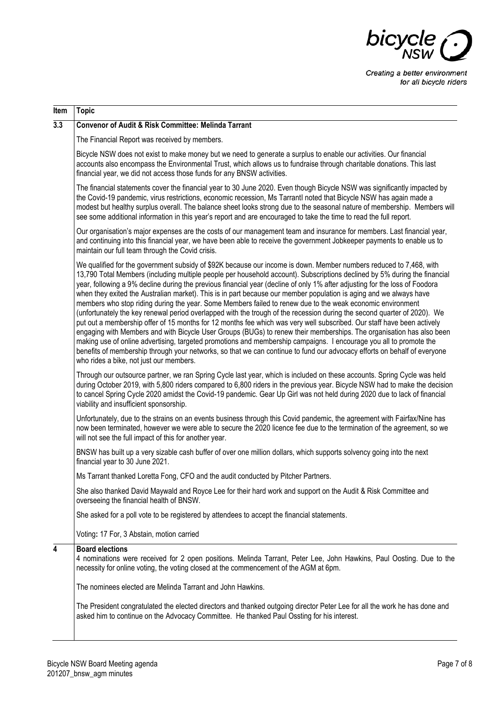

| Item | Topic                                                                                                                                                                                                                                                                                                                                                                                                                                                                                                                                                                                                                                                                                                                                                                                                                                                                                                                                                                                                                                                                                                                                                                                                                                                                                         |
|------|-----------------------------------------------------------------------------------------------------------------------------------------------------------------------------------------------------------------------------------------------------------------------------------------------------------------------------------------------------------------------------------------------------------------------------------------------------------------------------------------------------------------------------------------------------------------------------------------------------------------------------------------------------------------------------------------------------------------------------------------------------------------------------------------------------------------------------------------------------------------------------------------------------------------------------------------------------------------------------------------------------------------------------------------------------------------------------------------------------------------------------------------------------------------------------------------------------------------------------------------------------------------------------------------------|
| 3.3  | <b>Convenor of Audit &amp; Risk Committee: Melinda Tarrant</b>                                                                                                                                                                                                                                                                                                                                                                                                                                                                                                                                                                                                                                                                                                                                                                                                                                                                                                                                                                                                                                                                                                                                                                                                                                |
|      | The Financial Report was received by members.                                                                                                                                                                                                                                                                                                                                                                                                                                                                                                                                                                                                                                                                                                                                                                                                                                                                                                                                                                                                                                                                                                                                                                                                                                                 |
|      | Bicycle NSW does not exist to make money but we need to generate a surplus to enable our activities. Our financial<br>accounts also encompass the Environmental Trust, which allows us to fundraise through charitable donations. This last<br>financial year, we did not access those funds for any BNSW activities.                                                                                                                                                                                                                                                                                                                                                                                                                                                                                                                                                                                                                                                                                                                                                                                                                                                                                                                                                                         |
|      | The financial statements cover the financial year to 30 June 2020. Even though Bicycle NSW was significantly impacted by<br>the Covid-19 pandemic, virus restrictions, economic recession, Ms Tarrantl noted that Bicycle NSW has again made a<br>modest but healthy surplus overall. The balance sheet looks strong due to the seasonal nature of membership. Members will<br>see some additional information in this year's report and are encouraged to take the time to read the full report.                                                                                                                                                                                                                                                                                                                                                                                                                                                                                                                                                                                                                                                                                                                                                                                             |
|      | Our organisation's major expenses are the costs of our management team and insurance for members. Last financial year,<br>and continuing into this financial year, we have been able to receive the government Jobkeeper payments to enable us to<br>maintain our full team through the Covid crisis.                                                                                                                                                                                                                                                                                                                                                                                                                                                                                                                                                                                                                                                                                                                                                                                                                                                                                                                                                                                         |
|      | We qualified for the government subsidy of \$92K because our income is down. Member numbers reduced to 7,468, with<br>13,790 Total Members (including multiple people per household account). Subscriptions declined by 5% during the financial<br>year, following a 9% decline during the previous financial year (decline of only 1% after adjusting for the loss of Foodora<br>when they exited the Australian market). This is in part because our member population is aging and we always have<br>members who stop riding during the year. Some Members failed to renew due to the weak economic environment<br>(unfortunately the key renewal period overlapped with the trough of the recession during the second quarter of 2020). We<br>put out a membership offer of 15 months for 12 months fee which was very well subscribed. Our staff have been actively<br>engaging with Members and with Bicycle User Groups (BUGs) to renew their memberships. The organisation has also been<br>making use of online advertising, targeted promotions and membership campaigns. I encourage you all to promote the<br>benefits of membership through your networks, so that we can continue to fund our advocacy efforts on behalf of everyone<br>who rides a bike, not just our members. |
|      | Through our outsource partner, we ran Spring Cycle last year, which is included on these accounts. Spring Cycle was held<br>during October 2019, with 5,800 riders compared to 6,800 riders in the previous year. Bicycle NSW had to make the decision<br>to cancel Spring Cycle 2020 amidst the Covid-19 pandemic. Gear Up Girl was not held during 2020 due to lack of financial<br>viability and insufficient sponsorship.                                                                                                                                                                                                                                                                                                                                                                                                                                                                                                                                                                                                                                                                                                                                                                                                                                                                 |
|      | Unfortunately, due to the strains on an events business through this Covid pandemic, the agreement with Fairfax/Nine has<br>now been terminated, however we were able to secure the 2020 licence fee due to the termination of the agreement, so we<br>will not see the full impact of this for another year.                                                                                                                                                                                                                                                                                                                                                                                                                                                                                                                                                                                                                                                                                                                                                                                                                                                                                                                                                                                 |
|      | BNSW has built up a very sizable cash buffer of over one million dollars, which supports solvency going into the next<br>financial year to 30 June 2021.                                                                                                                                                                                                                                                                                                                                                                                                                                                                                                                                                                                                                                                                                                                                                                                                                                                                                                                                                                                                                                                                                                                                      |
|      | Ms Tarrant thanked Loretta Fong, CFO and the audit conducted by Pitcher Partners.                                                                                                                                                                                                                                                                                                                                                                                                                                                                                                                                                                                                                                                                                                                                                                                                                                                                                                                                                                                                                                                                                                                                                                                                             |
|      | She also thanked David Maywald and Royce Lee for their hard work and support on the Audit & Risk Committee and<br>overseeing the financial health of BNSW.                                                                                                                                                                                                                                                                                                                                                                                                                                                                                                                                                                                                                                                                                                                                                                                                                                                                                                                                                                                                                                                                                                                                    |
|      | She asked for a poll vote to be registered by attendees to accept the financial statements.                                                                                                                                                                                                                                                                                                                                                                                                                                                                                                                                                                                                                                                                                                                                                                                                                                                                                                                                                                                                                                                                                                                                                                                                   |
|      | Voting: 17 For, 3 Abstain, motion carried                                                                                                                                                                                                                                                                                                                                                                                                                                                                                                                                                                                                                                                                                                                                                                                                                                                                                                                                                                                                                                                                                                                                                                                                                                                     |
| 4    | <b>Board elections</b><br>4 nominations were received for 2 open positions. Melinda Tarrant, Peter Lee, John Hawkins, Paul Oosting. Due to the<br>necessity for online voting, the voting closed at the commencement of the AGM at 6pm.                                                                                                                                                                                                                                                                                                                                                                                                                                                                                                                                                                                                                                                                                                                                                                                                                                                                                                                                                                                                                                                       |
|      | The nominees elected are Melinda Tarrant and John Hawkins.                                                                                                                                                                                                                                                                                                                                                                                                                                                                                                                                                                                                                                                                                                                                                                                                                                                                                                                                                                                                                                                                                                                                                                                                                                    |
|      | The President congratulated the elected directors and thanked outgoing director Peter Lee for all the work he has done and<br>asked him to continue on the Advocacy Committee. He thanked Paul Ossting for his interest.                                                                                                                                                                                                                                                                                                                                                                                                                                                                                                                                                                                                                                                                                                                                                                                                                                                                                                                                                                                                                                                                      |